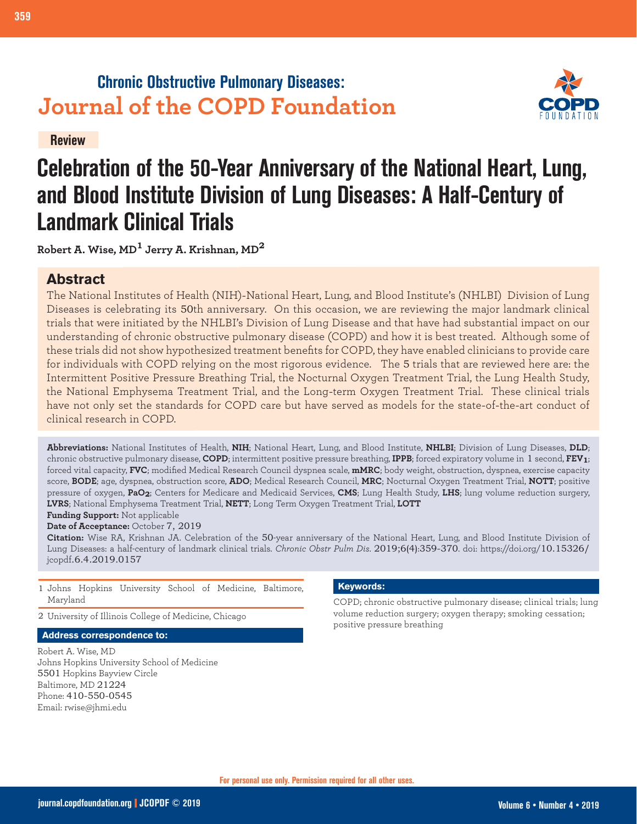# **Chronic Obstructive Pulmonary Diseases: Journal of the COPD Foundation**



**Review**

# **Celebration of the 50-Year Anniversary of the National Heart, Lung, and Blood Institute Division of Lung Diseases: A Half-Century of Landmark Clinical Trials**

**Robert A. Wise, MD1 Jerry A. Krishnan, MD<sup>2</sup>**

## **Abstract**

The National Institutes of Health (NIH)-National Heart, Lung, and Blood Institute's (NHLBI) Division of Lung Diseases is celebrating its 50th anniversary. On this occasion, we are reviewing the major landmark clinical trials that were initiated by the NHLBI's Division of Lung Disease and that have had substantial impact on our understanding of chronic obstructive pulmonary disease (COPD) and how it is best treated. Although some of these trials did not show hypothesized treatment benefits for COPD, they have enabled clinicians to provide care for individuals with COPD relying on the most rigorous evidence. The 5 trials that are reviewed here are: the Intermittent Positive Pressure Breathing Trial, the Nocturnal Oxygen Treatment Trial, the Lung Health Study, the National Emphysema Treatment Trial, and the Long-term Oxygen Treatment Trial. These clinical trials have not only set the standards for COPD care but have served as models for the state-of-the-art conduct of clinical research in COPD.

**Abbreviations:** National Institutes of Health, **NIH**; National Heart, Lung, and Blood Institute, **NHLBI**; Division of Lung Diseases, **DLD**; chronic obstructive pulmonary disease, **COPD**; intermittent positive pressure breathing, **IPPB**; forced expiratory volume in 1 second, **FEV1**; forced vital capacity, **FVC**; modified Medical Research Council dyspnea scale, **mMRC**; body weight, obstruction, dyspnea, exercise capacity score, **BODE**; age, dyspnea, obstruction score, **ADO**; Medical Research Council, **MRC**; Nocturnal Oxygen Treatment Trial, **NOTT**; positive pressure of oxygen, **PaO2**; Centers for Medicare and Medicaid Services, **CMS**; Lung Health Study, **LHS**; lung volume reduction surgery, **LVRS**; National Emphysema Treatment Trial, **NETT**; Long Term Oxygen Treatment Trial, **LOTT**

**Funding Support:** Not applicable **Date of Acceptance:** October 7, 2019

**Citation:** Wise RA, Krishnan JA. Celebration of the 50-year anniversary of the National Heart, Lung, and Blood Institute Division of Lung Diseases: a half-century of landmark clinical trials. *Chronic Obstr Pulm Dis*. 2019;6(4):359-370. doi: https://doi.org/10.15326/ jcopdf.6.4.2019.0157

- 1 Johns Hopkins University School of Medicine, Baltimore, Maryland
- 2 University of Illinois College of Medicine, Chicago

**Address correspondence to:**

Robert A. Wise, MD Johns Hopkins University School of Medicine 5501 Hopkins Bayview Circle Baltimore, MD 21224 Phone: 410-550-0545 Email: rwise@jhmi.edu

#### **Keywords:**

COPD; chronic obstructive pulmonary disease; clinical trials; lung volume reduction surgery; oxygen therapy; smoking cessation; positive pressure breathing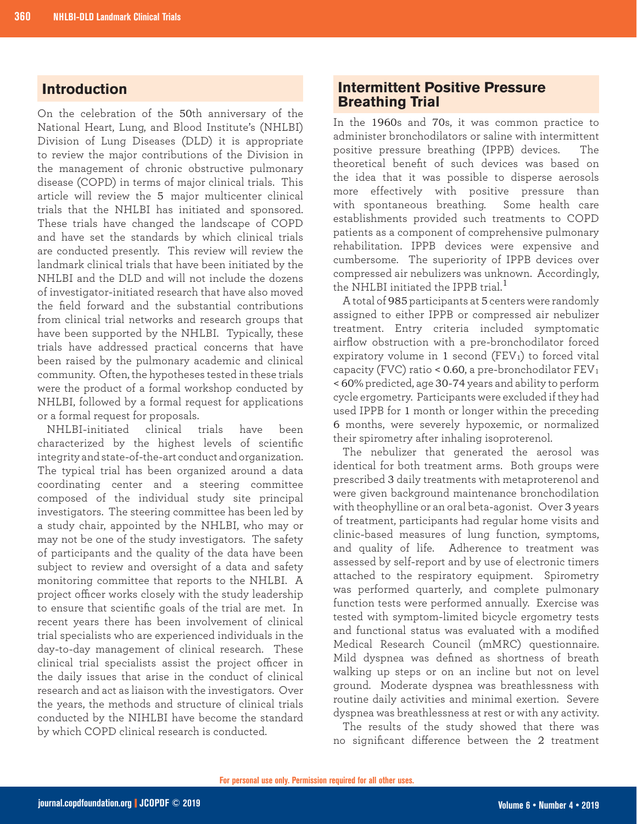### **Introduction**

On the celebration of the 50th anniversary of the National Heart, Lung, and Blood Institute's (NHLBI) Division of Lung Diseases (DLD) it is appropriate to review the major contributions of the Division in the management of chronic obstructive pulmonary disease (COPD) in terms of major clinical trials. This article will review the 5 major multicenter clinical trials that the NHLBI has initiated and sponsored. These trials have changed the landscape of COPD and have set the standards by which clinical trials are conducted presently. This review will review the landmark clinical trials that have been initiated by the NHLBI and the DLD and will not include the dozens of investigator-initiated research that have also moved the field forward and the substantial contributions from clinical trial networks and research groups that have been supported by the NHLBI. Typically, these trials have addressed practical concerns that have been raised by the pulmonary academic and clinical community. Often, the hypotheses tested in these trials were the product of a formal workshop conducted by NHLBI, followed by a formal request for applications or a formal request for proposals.

NHLBI-initiated clinical trials have been characterized by the highest levels of scientific integrity and state-of-the-art conduct and organization. The typical trial has been organized around a data coordinating center and a steering committee composed of the individual study site principal investigators. The steering committee has been led by a study chair, appointed by the NHLBI, who may or may not be one of the study investigators. The safety of participants and the quality of the data have been subject to review and oversight of a data and safety monitoring committee that reports to the NHLBI. A project officer works closely with the study leadership to ensure that scientific goals of the trial are met. In recent years there has been involvement of clinical trial specialists who are experienced individuals in the day-to-day management of clinical research. These clinical trial specialists assist the project officer in the daily issues that arise in the conduct of clinical research and act as liaison with the investigators. Over the years, the methods and structure of clinical trials conducted by the NIHLBI have become the standard by which COPD clinical research is conducted.

#### **Intermittent Positive Pressure Breathing Trial**

In the 1960s and 70s, it was common practice to administer bronchodilators or saline with intermittent positive pressure breathing (IPPB) devices. The theoretical benefit of such devices was based on the idea that it was possible to disperse aerosols more effectively with positive pressure than with spontaneous breathing. Some health care establishments provided such treatments to COPD patients as a component of comprehensive pulmonary rehabilitation. IPPB devices were expensive and cumbersome. The superiority of IPPB devices over compressed air nebulizers was unknown. Accordingly, the NHLBI initiated the IPPB trial.<sup>1</sup>

A total of 985 participants at 5 centers were randomly assigned to either IPPB or compressed air nebulizer treatment. Entry criteria included symptomatic airflow obstruction with a pre-bronchodilator forced expiratory volume in 1 second  $(FEV<sub>1</sub>)$  to forced vital capacity (FVC) ratio < 0.60, a pre-bronchodilator  $FEV<sub>1</sub>$ < 60% predicted, age 30-74 years and ability to perform cycle ergometry. Participants were excluded if they had used IPPB for 1 month or longer within the preceding 6 months, were severely hypoxemic, or normalized their spirometry after inhaling isoproterenol.

The nebulizer that generated the aerosol was identical for both treatment arms. Both groups were prescribed 3 daily treatments with metaproterenol and were given background maintenance bronchodilation with theophylline or an oral beta-agonist. Over 3 years of treatment, participants had regular home visits and clinic-based measures of lung function, symptoms, and quality of life. Adherence to treatment was assessed by self-report and by use of electronic timers attached to the respiratory equipment. Spirometry was performed quarterly, and complete pulmonary function tests were performed annually. Exercise was tested with symptom-limited bicycle ergometry tests and functional status was evaluated with a modified Medical Research Council (mMRC) questionnaire. Mild dyspnea was defined as shortness of breath walking up steps or on an incline but not on level ground. Moderate dyspnea was breathlessness with routine daily activities and minimal exertion. Severe dyspnea was breathlessness at rest or with any activity.

The results of the study showed that there was no significant difference between the 2 treatment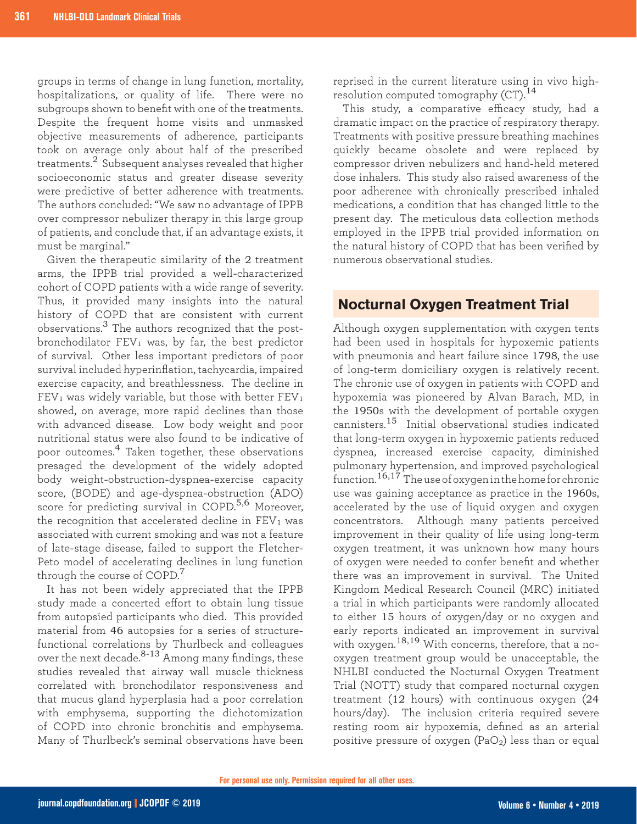groups in terms of change in lung function, mortality, hospitalizations, or quality of life. There were no subgroups shown to benefit with one of the treatments. Despite the frequent home visits and unmasked objective measurements of adherence, participants took on average only about half of the prescribed treatments.2 Subsequent analyses revealed that higher socioeconomic status and greater disease severity were predictive of better adherence with treatments. The authors concluded: "We saw no advantage of IPPB over compressor nebulizer therapy in this large group of patients, and conclude that, if an advantage exists, it must be marginal."

Given the therapeutic similarity of the 2 treatment arms, the IPPB trial provided a well-characterized cohort of COPD patients with a wide range of severity. Thus, it provided many insights into the natural history of COPD that are consistent with current observations.3 The authors recognized that the postbronchodilator  $FEV_1$  was, by far, the best predictor of survival. Other less important predictors of poor survival included hyperinflation, tachycardia, impaired exercise capacity, and breathlessness. The decline in  $FEV<sub>1</sub>$  was widely variable, but those with better  $FEV<sub>1</sub>$ showed, on average, more rapid declines than those with advanced disease. Low body weight and poor nutritional status were also found to be indicative of poor outcomes.4 Taken together, these observations presaged the development of the widely adopted body weight-obstruction-dyspnea-exercise capacity score, (BODE) and age-dyspnea-obstruction (ADO) score for predicting survival in COPD.<sup>5,6</sup> Moreover, the recognition that accelerated decline in  $FEV<sub>1</sub>$  was associated with current smoking and was not a feature of late-stage disease, failed to support the Fletcher-Peto model of accelerating declines in lung function through the course of COPD.<sup>7</sup>

It has not been widely appreciated that the IPPB study made a concerted effort to obtain lung tissue from autopsied participants who died. This provided material from 46 autopsies for a series of structurefunctional correlations by Thurlbeck and colleagues over the next decade. $8-13$  Among many findings, these studies revealed that airway wall muscle thickness correlated with bronchodilator responsiveness and that mucus gland hyperplasia had a poor correlation with emphysema, supporting the dichotomization of COPD into chronic bronchitis and emphysema. Many of Thurlbeck's seminal observations have been

reprised in the current literature using in vivo highresolution computed tomography  $(CT)$ .<sup>14</sup>

This study, a comparative efficacy study, had a dramatic impact on the practice of respiratory therapy. Treatments with positive pressure breathing machines quickly became obsolete and were replaced by compressor driven nebulizers and hand-held metered dose inhalers. This study also raised awareness of the poor adherence with chronically prescribed inhaled medications, a condition that has changed little to the present day. The meticulous data collection methods employed in the IPPB trial provided information on the natural history of COPD that has been verified by numerous observational studies.

### **Nocturnal Oxygen Treatment Trial**

Although oxygen supplementation with oxygen tents had been used in hospitals for hypoxemic patients with pneumonia and heart failure since 1798, the use of long-term domiciliary oxygen is relatively recent. The chronic use of oxygen in patients with COPD and hypoxemia was pioneered by Alvan Barach, MD, in the 1950s with the development of portable oxygen cannisters.15 Initial observational studies indicated that long-term oxygen in hypoxemic patients reduced dyspnea, increased exercise capacity, diminished pulmonary hypertension, and improved psychological  $\frac{1}{2}$  function.<sup>16,17</sup> The use of oxygen in the home for chronic use was gaining acceptance as practice in the 1960s, accelerated by the use of liquid oxygen and oxygen concentrators. Although many patients perceived improvement in their quality of life using long-term oxygen treatment, it was unknown how many hours of oxygen were needed to confer benefit and whether there was an improvement in survival. The United Kingdom Medical Research Council (MRC) initiated a trial in which participants were randomly allocated to either 15 hours of oxygen/day or no oxygen and early reports indicated an improvement in survival with oxygen.<sup>18,19</sup> With concerns, therefore, that a nooxygen treatment group would be unacceptable, the NHLBI conducted the Nocturnal Oxygen Treatment Trial (NOTT) study that compared nocturnal oxygen treatment (12 hours) with continuous oxygen (24 hours/day). The inclusion criteria required severe resting room air hypoxemia, defined as an arterial positive pressure of oxygen  $(PaO<sub>2</sub>)$  less than or equal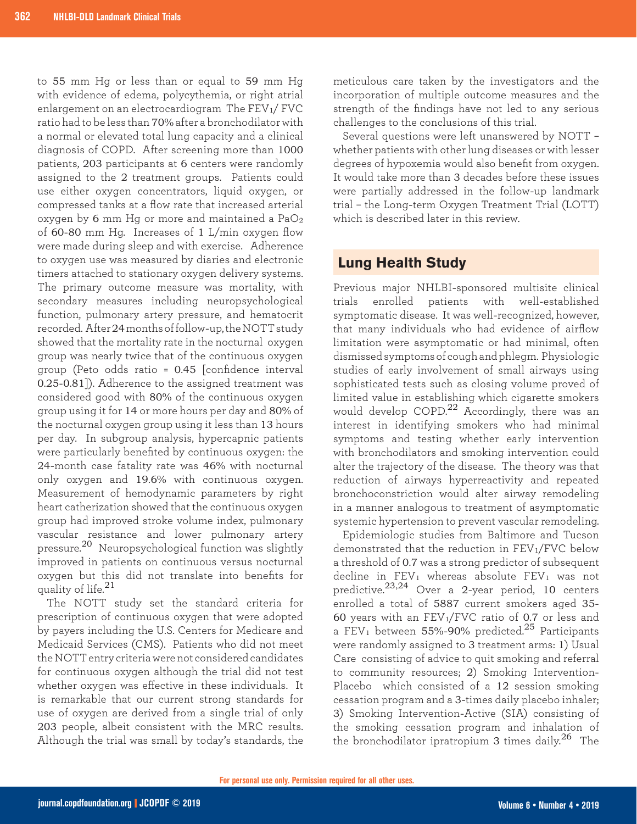to 55 mm Hg or less than or equal to 59 mm Hg with evidence of edema, polycythemia, or right atrial enlargement on an electrocardiogram The  $FEV<sub>1</sub>/FVC$ ratio had to be less than 70% after a bronchodilator with a normal or elevated total lung capacity and a clinical diagnosis of COPD. After screening more than 1000 patients, 203 participants at 6 centers were randomly assigned to the 2 treatment groups. Patients could use either oxygen concentrators, liquid oxygen, or compressed tanks at a flow rate that increased arterial oxygen by 6 mm Hg or more and maintained a PaO<sup>2</sup> of 60-80 mm Hg. Increases of 1 L/min oxygen flow were made during sleep and with exercise. Adherence to oxygen use was measured by diaries and electronic timers attached to stationary oxygen delivery systems. The primary outcome measure was mortality, with secondary measures including neuropsychological function, pulmonary artery pressure, and hematocrit recorded. After 24 months of follow-up, the NOTT study showed that the mortality rate in the nocturnal oxygen group was nearly twice that of the continuous oxygen group (Peto odds ratio = 0.45 [confidence interval 0.25-0.81]). Adherence to the assigned treatment was considered good with 80% of the continuous oxygen group using it for 14 or more hours per day and 80% of the nocturnal oxygen group using it less than 13 hours per day. In subgroup analysis, hypercapnic patients were particularly benefited by continuous oxygen: the 24-month case fatality rate was 46% with nocturnal only oxygen and 19.6% with continuous oxygen. Measurement of hemodynamic parameters by right heart catherization showed that the continuous oxygen group had improved stroke volume index, pulmonary vascular resistance and lower pulmonary artery pressure.20 Neuropsychological function was slightly improved in patients on continuous versus nocturnal oxygen but this did not translate into benefits for quality of life. $^{21}$ 

The NOTT study set the standard criteria for prescription of continuous oxygen that were adopted by payers including the U.S. Centers for Medicare and Medicaid Services (CMS). Patients who did not meet the NOTT entry criteria were not considered candidates for continuous oxygen although the trial did not test whether oxygen was effective in these individuals. It is remarkable that our current strong standards for use of oxygen are derived from a single trial of only 203 people, albeit consistent with the MRC results. Although the trial was small by today's standards, the

meticulous care taken by the investigators and the incorporation of multiple outcome measures and the strength of the findings have not led to any serious challenges to the conclusions of this trial.

Several questions were left unanswered by NOTT – whether patients with other lung diseases or with lesser degrees of hypoxemia would also benefit from oxygen. It would take more than 3 decades before these issues were partially addressed in the follow-up landmark trial – the Long-term Oxygen Treatment Trial (LOTT) which is described later in this review

## **Lung Health Study**

Previous major NHLBI-sponsored multisite clinical trials enrolled patients with well-established symptomatic disease. It was well-recognized, however, that many individuals who had evidence of airflow limitation were asymptomatic or had minimal, often dismissed symptoms of cough and phlegm. Physiologic studies of early involvement of small airways using sophisticated tests such as closing volume proved of limited value in establishing which cigarette smokers would develop COPD.<sup>22</sup> Accordingly, there was an interest in identifying smokers who had minimal symptoms and testing whether early intervention with bronchodilators and smoking intervention could alter the trajectory of the disease. The theory was that reduction of airways hyperreactivity and repeated bronchoconstriction would alter airway remodeling in a manner analogous to treatment of asymptomatic systemic hypertension to prevent vascular remodeling.

Epidemiologic studies from Baltimore and Tucson demonstrated that the reduction in FEV<sub>1</sub>/FVC below a threshold of 0.7 was a strong predictor of subsequent decline in FEV<sub>1</sub> whereas absolute FEV<sub>1</sub> was not predictive.23,24 Over a 2-year period, 10 centers enrolled a total of 5887 current smokers aged 35- 60 years with an  $FEV_1/FVC$  ratio of 0.7 or less and a FEV<sub>1</sub> between 55%-90% predicted.<sup>25</sup> Participants were randomly assigned to 3 treatment arms: 1) Usual Care consisting of advice to quit smoking and referral to community resources; 2) Smoking Intervention-Placebo which consisted of a 12 session smoking cessation program and a 3-times daily placebo inhaler; 3) Smoking Intervention-Active (SIA) consisting of the smoking cessation program and inhalation of the bronchodilator ipratropium 3 times daily.<sup>26</sup> The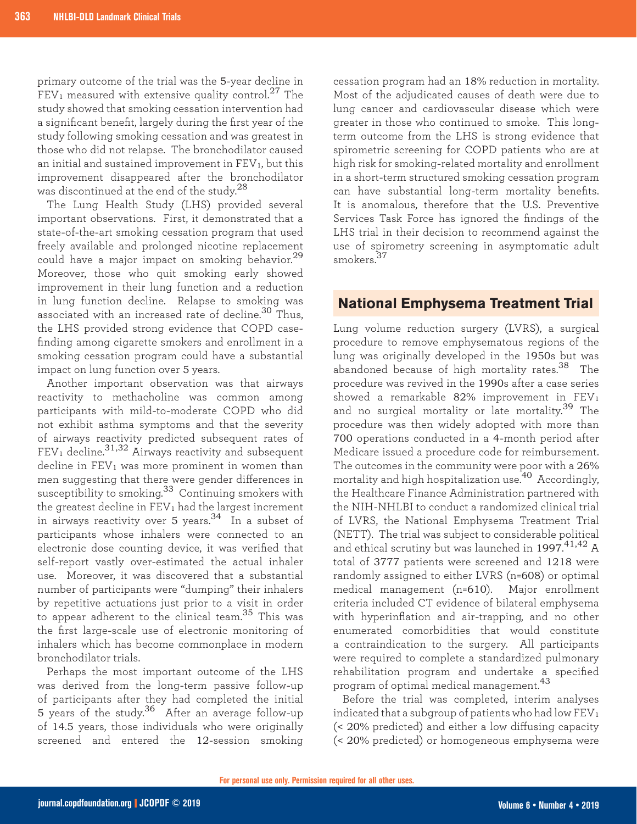primary outcome of the trial was the 5-year decline in  $FEV<sub>1</sub>$  measured with extensive quality control.<sup>27</sup> The study showed that smoking cessation intervention had a significant benefit, largely during the first year of the study following smoking cessation and was greatest in those who did not relapse. The bronchodilator caused an initial and sustained improvement in  $FEV<sub>1</sub>$ , but this improvement disappeared after the bronchodilator was discontinued at the end of the study.<sup>28</sup>

The Lung Health Study (LHS) provided several important observations. First, it demonstrated that a state-of-the-art smoking cessation program that used freely available and prolonged nicotine replacement could have a major impact on smoking behavior.<sup>29</sup> Moreover, those who quit smoking early showed improvement in their lung function and a reduction in lung function decline. Relapse to smoking was associated with an increased rate of decline.<sup>30</sup> Thus, the LHS provided strong evidence that COPD casefinding among cigarette smokers and enrollment in a smoking cessation program could have a substantial impact on lung function over 5 years.

Another important observation was that airways reactivity to methacholine was common among participants with mild-to-moderate COPD who did not exhibit asthma symptoms and that the severity of airways reactivity predicted subsequent rates of  $FEV<sub>1</sub>$  decline.<sup>31,32</sup> Airways reactivity and subsequent  $\delta$  decline in FEV<sub>1</sub> was more prominent in women than men suggesting that there were gender differences in susceptibility to smoking.33 Continuing smokers with the greatest decline in  $FEV<sub>1</sub>$  had the largest increment in airways reactivity over 5 years. $34$  In a subset of participants whose inhalers were connected to an electronic dose counting device, it was verified that self-report vastly over-estimated the actual inhaler use. Moreover, it was discovered that a substantial number of participants were "dumping" their inhalers by repetitive actuations just prior to a visit in order to appear adherent to the clinical team.<sup>35</sup> This was the first large-scale use of electronic monitoring of inhalers which has become commonplace in modern bronchodilator trials.

Perhaps the most important outcome of the LHS was derived from the long-term passive follow-up of participants after they had completed the initial 5 years of the study.36 After an average follow-up of 14.5 years, those individuals who were originally screened and entered the 12-session smoking

cessation program had an 18% reduction in mortality. Most of the adjudicated causes of death were due to lung cancer and cardiovascular disease which were greater in those who continued to smoke. This longterm outcome from the LHS is strong evidence that spirometric screening for COPD patients who are at high risk for smoking-related mortality and enrollment in a short-term structured smoking cessation program can have substantial long-term mortality benefits. It is anomalous, therefore that the U.S. Preventive Services Task Force has ignored the findings of the LHS trial in their decision to recommend against the use of spirometry screening in asymptomatic adult smokers.<sup>37</sup>

#### **National Emphysema Treatment Trial**

Lung volume reduction surgery (LVRS), a surgical procedure to remove emphysematous regions of the lung was originally developed in the 1950s but was abandoned because of high mortality rates.38 The procedure was revived in the 1990s after a case series showed a remarkable  $82\%$  improvement in FEV<sub>1</sub> and no surgical mortality or late mortality.<sup>39</sup> The procedure was then widely adopted with more than 700 operations conducted in a 4-month period after Medicare issued a procedure code for reimbursement. The outcomes in the community were poor with a 26% mortality and high hospitalization use.40 Accordingly, the Healthcare Finance Administration partnered with the NIH-NHLBI to conduct a randomized clinical trial of LVRS, the National Emphysema Treatment Trial (NETT). The trial was subject to considerable political and ethical scrutiny but was launched in 1997. $^{41,42}$  A total of 3777 patients were screened and 1218 were randomly assigned to either LVRS (n=608) or optimal medical management (n=610). Major enrollment criteria included CT evidence of bilateral emphysema with hyperinflation and air-trapping, and no other enumerated comorbidities that would constitute a contraindication to the surgery. All participants were required to complete a standardized pulmonary rehabilitation program and undertake a specified program of optimal medical management.<sup>43</sup>

Before the trial was completed, interim analyses indicated that a subgroup of patients who had low  $FEV<sub>1</sub>$ (< 20% predicted) and either a low diffusing capacity (< 20% predicted) or homogeneous emphysema were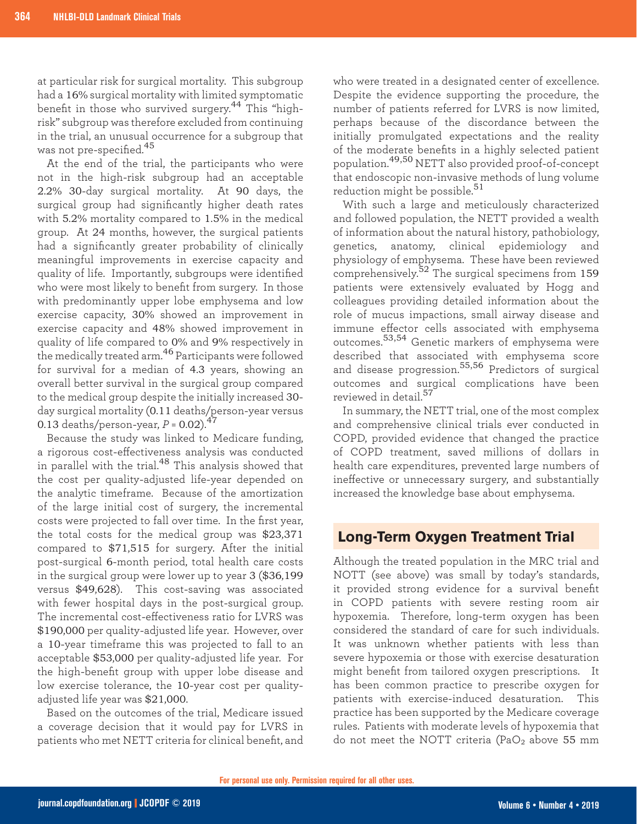at particular risk for surgical mortality. This subgroup had a 16% surgical mortality with limited symptomatic benefit in those who survived surgery.44 This "highrisk" subgroup was therefore excluded from continuing in the trial, an unusual occurrence for a subgroup that was not pre-specified.<sup>45</sup>

At the end of the trial, the participants who were not in the high-risk subgroup had an acceptable 2.2% 30-day surgical mortality. At 90 days, the surgical group had significantly higher death rates with 5.2% mortality compared to 1.5% in the medical group. At 24 months, however, the surgical patients had a significantly greater probability of clinically meaningful improvements in exercise capacity and quality of life. Importantly, subgroups were identified who were most likely to benefit from surgery. In those with predominantly upper lobe emphysema and low exercise capacity, 30% showed an improvement in exercise capacity and 48% showed improvement in quality of life compared to 0% and 9% respectively in the medically treated arm.46 Participants were followed for survival for a median of 4.3 years, showing an overall better survival in the surgical group compared to the medical group despite the initially increased 30 day surgical mortality (0.11 deaths/person-year versus 0.13 deaths/person-year,  $P = 0.02$ ).<sup>47</sup>

Because the study was linked to Medicare funding, a rigorous cost-effectiveness analysis was conducted in parallel with the trial.48 This analysis showed that the cost per quality-adjusted life-year depended on the analytic timeframe. Because of the amortization of the large initial cost of surgery, the incremental costs were projected to fall over time. In the first year, the total costs for the medical group was \$23,371 compared to \$71,515 for surgery. After the initial post-surgical 6-month period, total health care costs in the surgical group were lower up to year 3 (\$36,199 versus \$49,628). This cost-saving was associated with fewer hospital days in the post-surgical group. The incremental cost-effectiveness ratio for LVRS was \$190,000 per quality-adjusted life year. However, over a 10-year timeframe this was projected to fall to an acceptable \$53,000 per quality-adjusted life year. For the high-benefit group with upper lobe disease and low exercise tolerance, the 10-year cost per qualityadjusted life year was \$21,000.

Based on the outcomes of the trial, Medicare issued a coverage decision that it would pay for LVRS in patients who met NETT criteria for clinical benefit, and

who were treated in a designated center of excellence. Despite the evidence supporting the procedure, the number of patients referred for LVRS is now limited, perhaps because of the discordance between the initially promulgated expectations and the reality of the moderate benefits in a highly selected patient population.49,50 NETT also provided proof-of-concept that endoscopic non-invasive methods of lung volume reduction might be possible.<sup>51</sup>

With such a large and meticulously characterized and followed population, the NETT provided a wealth of information about the natural history, pathobiology, genetics, anatomy, clinical epidemiology and physiology of emphysema. These have been reviewed comprehensively.<sup>52</sup> The surgical specimens from 159 patients were extensively evaluated by Hogg and colleagues providing detailed information about the role of mucus impactions, small airway disease and immune effector cells associated with emphysema outcomes.53,54 Genetic markers of emphysema were described that associated with emphysema score and disease progression.55,56 Predictors of surgical outcomes and surgical complications have been reviewed in detail.<sup>57</sup>

In summary, the NETT trial, one of the most complex and comprehensive clinical trials ever conducted in COPD, provided evidence that changed the practice of COPD treatment, saved millions of dollars in health care expenditures, prevented large numbers of ineffective or unnecessary surgery, and substantially increased the knowledge base about emphysema.

### **Long-Term Oxygen Treatment Trial**

Although the treated population in the MRC trial and NOTT (see above) was small by today's standards, it provided strong evidence for a survival benefit in COPD patients with severe resting room air hypoxemia. Therefore, long-term oxygen has been considered the standard of care for such individuals. It was unknown whether patients with less than severe hypoxemia or those with exercise desaturation might benefit from tailored oxygen prescriptions. It has been common practice to prescribe oxygen for patients with exercise-induced desaturation. This practice has been supported by the Medicare coverage rules. Patients with moderate levels of hypoxemia that do not meet the NOTT criteria (PaO<sub>2</sub> above 55 mm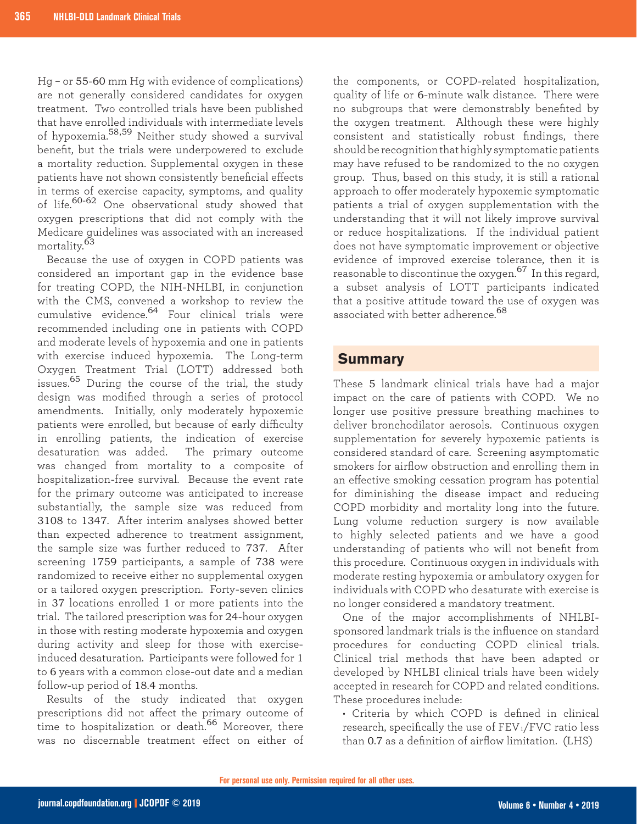Hg – or 55-60 mm Hg with evidence of complications) are not generally considered candidates for oxygen treatment. Two controlled trials have been published that have enrolled individuals with intermediate levels of hypoxemia.58,59 Neither study showed a survival benefit, but the trials were underpowered to exclude a mortality reduction. Supplemental oxygen in these patients have not shown consistently beneficial effects in terms of exercise capacity, symptoms, and quality of life.60-62 One observational study showed that oxygen prescriptions that did not comply with the Medicare guidelines was associated with an increased mortality.<sup>63</sup>

Because the use of oxygen in COPD patients was considered an important gap in the evidence base for treating COPD, the NIH-NHLBI, in conjunction with the CMS, convened a workshop to review the cumulative evidence.64 Four clinical trials were recommended including one in patients with COPD and moderate levels of hypoxemia and one in patients with exercise induced hypoxemia. The Long-term Oxygen Treatment Trial (LOTT) addressed both issues.<sup>65</sup> During the course of the trial, the study design was modified through a series of protocol amendments. Initially, only moderately hypoxemic patients were enrolled, but because of early difficulty in enrolling patients, the indication of exercise desaturation was added. The primary outcome was changed from mortality to a composite of hospitalization-free survival. Because the event rate for the primary outcome was anticipated to increase substantially, the sample size was reduced from 3108 to 1347. After interim analyses showed better than expected adherence to treatment assignment, the sample size was further reduced to 737. After screening 1759 participants, a sample of 738 were randomized to receive either no supplemental oxygen or a tailored oxygen prescription. Forty-seven clinics in 37 locations enrolled 1 or more patients into the trial. The tailored prescription was for 24-hour oxygen in those with resting moderate hypoxemia and oxygen during activity and sleep for those with exerciseinduced desaturation. Participants were followed for 1 to 6 years with a common close-out date and a median follow-up period of 18.4 months.

Results of the study indicated that oxygen prescriptions did not affect the primary outcome of time to hospitalization or death.<sup>66</sup> Moreover, there was no discernable treatment effect on either of

the components, or COPD-related hospitalization, quality of life or 6-minute walk distance. There were no subgroups that were demonstrably benefited by the oxygen treatment. Although these were highly consistent and statistically robust findings, there should be recognition that highly symptomatic patients may have refused to be randomized to the no oxygen group. Thus, based on this study, it is still a rational approach to offer moderately hypoxemic symptomatic patients a trial of oxygen supplementation with the understanding that it will not likely improve survival or reduce hospitalizations. If the individual patient does not have symptomatic improvement or objective evidence of improved exercise tolerance, then it is reasonable to discontinue the oxygen.67 In this regard, a subset analysis of LOTT participants indicated that a positive attitude toward the use of oxygen was associated with better adherence.<sup>68</sup>

#### **Summary**

These 5 landmark clinical trials have had a major impact on the care of patients with COPD. We no longer use positive pressure breathing machines to deliver bronchodilator aerosols. Continuous oxygen supplementation for severely hypoxemic patients is considered standard of care. Screening asymptomatic smokers for airflow obstruction and enrolling them in an effective smoking cessation program has potential for diminishing the disease impact and reducing COPD morbidity and mortality long into the future. Lung volume reduction surgery is now available to highly selected patients and we have a good understanding of patients who will not benefit from this procedure. Continuous oxygen in individuals with moderate resting hypoxemia or ambulatory oxygen for individuals with COPD who desaturate with exercise is no longer considered a mandatory treatment.

One of the major accomplishments of NHLBIsponsored landmark trials is the influence on standard procedures for conducting COPD clinical trials. Clinical trial methods that have been adapted or developed by NHLBI clinical trials have been widely accepted in research for COPD and related conditions. These procedures include:

• Criteria by which COPD is defined in clinical research, specifically the use of FEV<sub>1</sub>/FVC ratio less than 0.7 as a definition of airflow limitation. (LHS)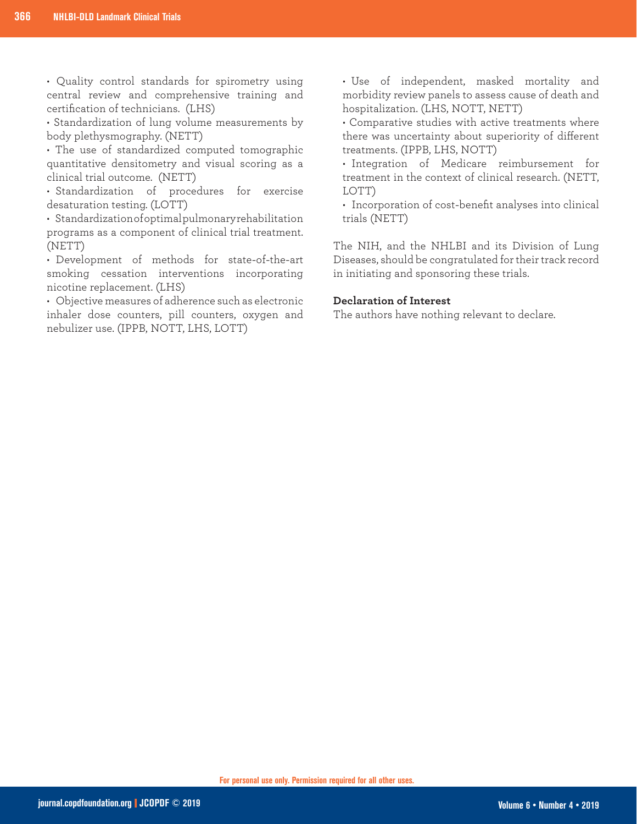• Quality control standards for spirometry using central review and comprehensive training and certification of technicians. (LHS)

• Standardization of lung volume measurements by body plethysmography. (NETT)

• The use of standardized computed tomographic quantitative densitometry and visual scoring as a clinical trial outcome. (NETT)

• Standardization of procedures for exercise desaturation testing. (LOTT)

• Standardization of optimal pulmonary rehabilitation programs as a component of clinical trial treatment. (NETT)

• Development of methods for state-of-the-art smoking cessation interventions incorporating nicotine replacement. (LHS)

• Objective measures of adherence such as electronic inhaler dose counters, pill counters, oxygen and nebulizer use. (IPPB, NOTT, LHS, LOTT)

• Use of independent, masked mortality and morbidity review panels to assess cause of death and hospitalization. (LHS, NOTT, NETT)

• Comparative studies with active treatments where there was uncertainty about superiority of different treatments. (IPPB, LHS, NOTT)

• Integration of Medicare reimbursement for treatment in the context of clinical research. (NETT, LOTT)

• Incorporation of cost-benefit analyses into clinical trials (NETT)

The NIH, and the NHLBI and its Division of Lung Diseases, should be congratulated for their track record in initiating and sponsoring these trials.

#### **Declaration of Interest**

The authors have nothing relevant to declare.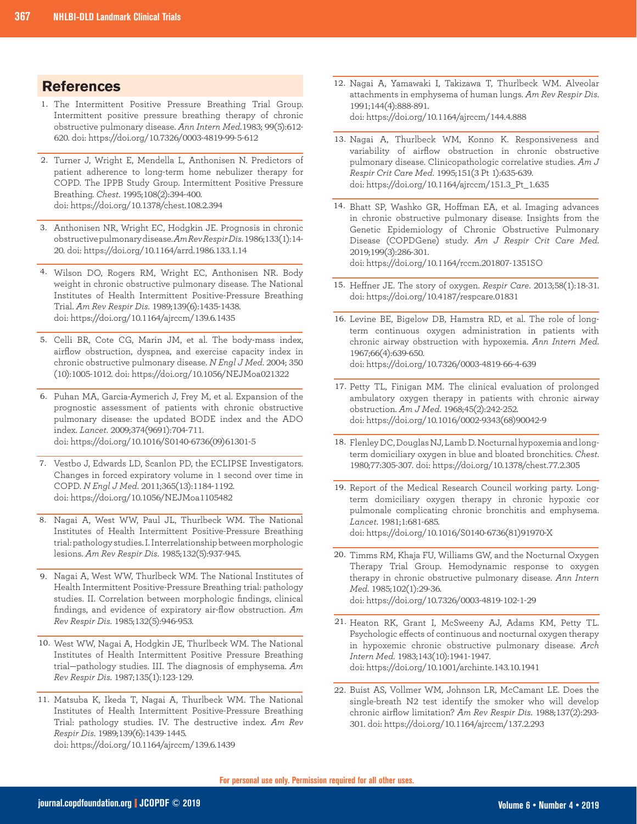- 1. The Intermittent Positive Pressure Breathing Trial Group. Intermittent positive pressure breathing therapy of chronic obstructive pulmonary disease. *Ann Intern Med*.1983; 99(5):612- 620. doi: https://doi.org/10.7326/0003-4819-99-5-612
- 2. Turner J, Wright E, Mendella L, Anthonisen N. Predictors of patient adherence to long-term home nebulizer therapy for COPD. The IPPB Study Group. Intermittent Positive Pressure Breathing. *Chest*. 1995;108(2):394-400. doi: https://doi.org/10.1378/chest.108.2.394
- 3. Anthonisen NR, Wright EC, Hodgkin JE. Prognosis in chronic obstructive pulmonary disease. *Am Rev Respir Dis*. 1986;133(1):14- 20. doi: https://doi.org/10.1164/arrd.1986.133.1.14
- Wilson DO, Rogers RM, Wright EC, Anthonisen NR. Body 4. weight in chronic obstructive pulmonary disease. The National Institutes of Health Intermittent Positive-Pressure Breathing Trial. *Am Rev Respir Dis*. 1989;139(6):1435-1438. doi: https://doi.org/10.1164/ajrccm/139.6.1435
- 5. Celli BR, Cote CG, Marin JM, et al. The body-mass index, airflow obstruction, dyspnea, and exercise capacity index in chronic obstructive pulmonary disease. *N Engl J Med*. 2004; 350 (10):1005-1012. doi: https://doi.org/10.1056/NEJMoa021322
- 6. Puhan MA, Garcia-Aymerich J, Frey M, et al. Expansion of the prognostic assessment of patients with chronic obstructive pulmonary disease: the updated BODE index and the ADO index. *Lancet*. 2009;374(9691):704-711. doi: https://doi.org/10.1016/S0140-6736(09)61301-5
- 7. Vestbo J, Edwards LD, Scanlon PD, the ECLIPSE Investigators. Changes in forced expiratory volume in 1 second over time in COPD. *N Engl J Med*. 2011;365(13):1184-1192. doi: https://doi.org/10.1056/NEJMoa1105482
- 8. Nagai A, West WW, Paul JL, Thurlbeck WM. The National Institutes of Health Intermittent Positive-Pressure Breathing trial: pathology studies. I. Interrelationship between morphologic lesions. *Am Rev Respir Dis*. 1985;132(5):937-945.
- 9. Nagai A, West WW, Thurlbeck WM. The National Institutes of Health Intermittent Positive-Pressure Breathing trial: pathology studies. II. Correlation between morphologic findings, clinical findings, and evidence of expiratory air-flow obstruction. *Am Rev Respir Dis*. 1985;132(5):946-953.
- 10. West WW, Nagai A, Hodgkin JE, Thurlbeck WM. The National Institutes of Health Intermittent Positive Pressure Breathing trial—pathology studies. III. The diagnosis of emphysema. *Am Rev Respir Dis*. 1987;135(1):123-129.
- 11. Matsuba K, Ikeda T, Nagai A, Thurlbeck WM. The National Institutes of Health Intermittent Positive-Pressure Breathing Trial: pathology studies. IV. The destructive index. *Am Rev Respir Dis*. 1989;139(6):1439-1445. doi: https://doi.org/10.1164/ajrccm/139.6.1439
- **References** Nagai A, Yamawaki I, Takizawa T, Thurlbeck WM. Alveolar (1999) and the control of the control of the control of the control of the control of the control of the control of the control of the control of the con attachments in emphysema of human lungs. *Am Rev Respir Dis*. 1991;144(4):888-891. doi: https://doi.org/10.1164/ajrccm/144.4.888
	- 13. Nagai A, Thurlbeck WM, Konno K. Responsiveness and variability of airflow obstruction in chronic obstructive pulmonary disease. Clinicopathologic correlative studies. *Am J Respir Crit Care Med*. 1995;151(3 Pt 1):635-639. doi: https://doi.org/10.1164/ajrccm/151.3\_Pt\_1.635
	- 14. Bhatt SP, Washko GR, Hoffman EA, et al. Imaging advances in chronic obstructive pulmonary disease. Insights from the Genetic Epidemiology of Chronic Obstructive Pulmonary Disease (COPDGene) study. *Am J Respir Crit Care Med*. 2019;199(3):286-301. doi: https://doi.org/10.1164/rccm.201807-1351SO
	- Heffner JE. The story of oxygen. *Respir Care*. 2013;58(1):18-31. 15. doi: https://doi.org/10.4187/respcare.01831
	- 16. Levine BE, Bigelow DB, Hamstra RD, et al. The role of longterm continuous oxygen administration in patients with chronic airway obstruction with hypoxemia. *Ann Intern Med*. 1967;66(4):639-650. doi: https://doi.org/10.7326/0003-4819-66-4-639
	- 17. Petty TL, Finigan MM. The clinical evaluation of prolonged ambulatory oxygen therapy in patients with chronic airway obstruction. *Am J Med*. 1968;45(2):242-252. doi: https://doi.org/10.1016/0002-9343(68)90042-9
	- 18. Flenley DC, Douglas NJ, Lamb D. Nocturnal hypoxemia and longterm domiciliary oxygen in blue and bloated bronchitics. *Chest*. 1980;77:305-307. doi: https://doi.org/10.1378/chest.77.2.305
	- 19. Report of the Medical Research Council working party. Longterm domiciliary oxygen therapy in chronic hypoxic cor pulmonale complicating chronic bronchitis and emphysema. *Lancet*. 1981;1:681-685. doi: https://doi.org/10.1016/S0140-6736(81)91970-X
	- 20. Timms RM, Khaja FU, Williams GW, and the Nocturnal Oxygen Therapy Trial Group. Hemodynamic response to oxygen therapy in chronic obstructive pulmonary disease. *Ann Intern Med*. 1985;102(1):29-36. doi: https://doi.org/10.7326/0003-4819-102-1-29
	- 21. Heaton RK, Grant I, McSweeny AJ, Adams KM, Petty TL. Psychologic effects of continuous and nocturnal oxygen therapy in hypoxemic chronic obstructive pulmonary disease. *Arch Intern Med.* 1983;143(10):1941-1947. doi: https://doi.org/10.1001/archinte.143.10.1941
	- 22. Buist AS, Vollmer WM, Johnson LR, McCamant LE. Does the single-breath N2 test identify the smoker who will develop chronic airflow limitation? *Am Rev Respir Dis*. 1988;137(2):293- 301. doi: https://doi.org/10.1164/ajrccm/137.2.293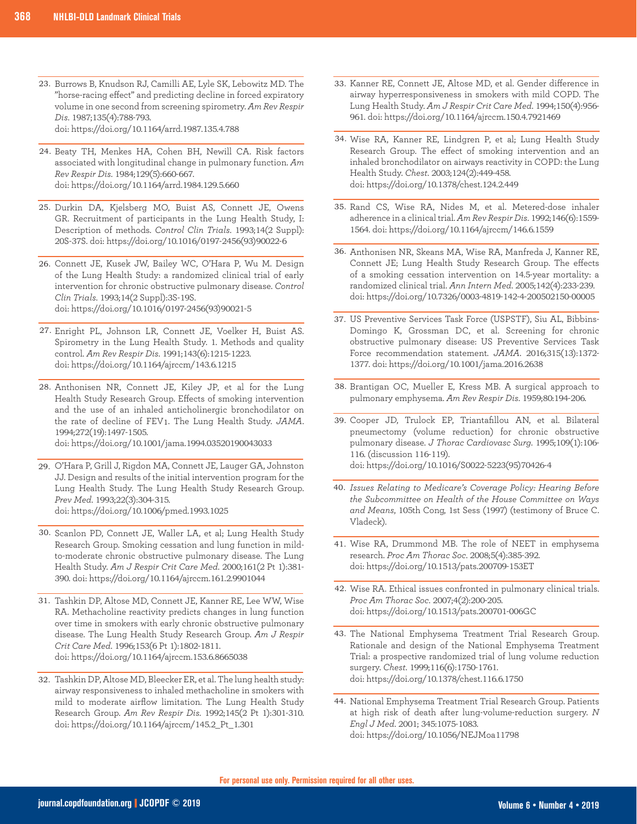- 23. Burrows B, Knudson RJ, Camilli AE, Lyle SK, Lebowitz MD. The "horse-racing effect" and predicting decline in forced expiratory volume in one second from screening spirometry. *Am Rev Respir Dis*. 1987;135(4):788-793. doi: https://doi.org/10.1164/arrd.1987.135.4.788
- 24. Beaty TH, Menkes HA, Cohen BH, Newill CA. Risk factors associated with longitudinal change in pulmonary function. *Am Rev Respir Dis*. 1984;129(5):660-667. doi: https://doi.org/10.1164/arrd.1984.129.5.660
- 25. Durkin DA, Kjelsberg MO, Buist AS, Connett JE, Owens GR. Recruitment of participants in the Lung Health Study, I: Description of methods. *Control Clin Trials*. 1993;14(2 Suppl): 20S-37S. doi: https://doi.org/10.1016/0197-2456(93)90022-6
- 26. Connett JE, Kusek JW, Bailey WC, O'Hara P, Wu M. Design of the Lung Health Study: a randomized clinical trial of early intervention for chronic obstructive pulmonary disease. *Control Clin Trials*. 1993;14(2 Suppl):3S-19S. doi: https://doi.org/10.1016/0197-2456(93)90021-5
- Enright PL, Johnson LR, Connett JE, Voelker H, Buist AS. 27. Spirometry in the Lung Health Study. 1. Methods and quality control. *Am Rev Respir Dis*. 1991;143(6):1215-1223. doi: https://doi.org/10.1164/ajrccm/143.6.1215
- 28. Anthonisen NR, Connett JE, Kiley JP, et al for the Lung Health Study Research Group. Effects of smoking intervention and the use of an inhaled anticholinergic bronchodilator on the rate of decline of FEV1. The Lung Health Study. *JAMA*. 1994;272(19):1497-1505. doi: https://doi.org/10.1001/jama.1994.03520190043033
- O'Hara P, Grill J, Rigdon MA, Connett JE, Lauger GA, Johnston 29. JJ. Design and results of the initial intervention program for the Lung Health Study. The Lung Health Study Research Group. *Prev Med*. 1993;22(3):304-315. doi: https://doi.org/10.1006/pmed.1993.1025
- Scanlon PD, Connett JE, Waller LA, et al; Lung Health Study 30. Research Group. Smoking cessation and lung function in mild-
- to-moderate chronic obstructive pulmonary disease. The Lung Health Study. *Am J Respir Crit Care Med*. 2000;161(2 Pt 1):381- 390. doi: https://doi.org/10.1164/ajrccm.161.2.9901044
- 31. Tashkin DP, Altose MD, Connett JE, Kanner RE, Lee WW, Wise RA. Methacholine reactivity predicts changes in lung function over time in smokers with early chronic obstructive pulmonary disease. The Lung Health Study Research Group. *Am J Respir Crit Care Med*. 1996;153(6 Pt 1):1802-1811. doi: https://doi.org/10.1164/ajrccm.153.6.8665038
- Tashkin DP, Altose MD, Bleecker ER, et al. The lung health study: 32. airway responsiveness to inhaled methacholine in smokers with mild to moderate airflow limitation. The Lung Health Study Research Group. *Am Rev Respir Dis*. 1992;145(2 Pt 1):301-310. doi: https://doi.org/10.1164/ajrccm/145.2\_Pt\_1.301
- 33. Kanner RE, Connett JE, Altose MD, et al. Gender difference in airway hyperresponsiveness in smokers with mild COPD. The Lung Health Study. *Am J Respir Crit Care Med*. 1994;150(4):956- 961. doi: https://doi.org/10.1164/ajrccm.150.4.7921469
- Wise RA, Kanner RE, Lindgren P, et al; Lung Health Study 34. Research Group. The effect of smoking intervention and an inhaled bronchodilator on airways reactivity in COPD: the Lung Health Study. *Chest*. 2003;124(2):449-458. doi: https://doi.org/10.1378/chest.124.2.449
- 35. Rand CS, Wise RA, Nides M, et al. Metered-dose inhaler adherence in a clinical trial. *Am Rev Respir Dis*. 1992;146(6):1559- 1564. doi: https://doi.org/10.1164/ajrccm/146.6.1559
- Anthonisen NR, Skeans MA, Wise RA, Manfreda J, Kanner RE, 36. Connett JE; Lung Health Study Research Group. The effects of a smoking cessation intervention on 14.5-year mortality: a randomized clinical trial. *Ann Intern Med*. 2005;142(4):233-239. doi: https://doi.org/10.7326/0003-4819-142-4-200502150-00005
- US Preventive Services Task Force (USPSTF), Siu AL, Bibbins-37. Domingo K, Grossman DC, et al. Screening for chronic obstructive pulmonary disease: US Preventive Services Task Force recommendation statement. *JAMA*. 2016;315(13):1372- 1377. doi: https://doi.org/10.1001/jama.2016.2638
- 38. Brantigan OC, Mueller E, Kress MB. A surgical approach to pulmonary emphysema. *Am Rev Respir Dis*. 1959;80:194-206.
- 39. Cooper JD, Trulock EP, Triantafillou AN, et al. Bilateral pneumectomy (volume reduction) for chronic obstructive pulmonary disease. *J Thorac Cardiovasc Surg*. 1995;109(1):106- 116. (discussion 116-119). doi: https://doi.org/10.1016/S0022-5223(95)70426-4
- *Issues Relating to Medicare's Coverage Policy: Hearing Before*  40. *the Subcommittee on Health of the House Committee on Ways and Means*, 105th Cong, 1st Sess (1997) (testimony of Bruce C. Vladeck).
- 41. Wise RA, Drummond MB. The role of NEET in emphysema research. *Proc Am Thorac Soc*. 2008;5(4):385-392. doi: https://doi.org/10.1513/pats.200709-153ET
- Wise RA. Ethical issues confronted in pulmonary clinical trials. 42. *Proc Am Thorac Soc*. 2007;4(2):200-205. doi: https://doi.org/10.1513/pats.200701-006GC
- 43. The National Emphysema Treatment Trial Research Group. Rationale and design of the National Emphysema Treatment Trial: a prospective randomized trial of lung volume reduction surgery. *Chest*. 1999;116(6):1750-1761. doi: https://doi.org/10.1378/chest.116.6.1750
- 44. National Emphysema Treatment Trial Research Group. Patients at high risk of death after lung-volume-reduction surgery. *N Engl J Med*. 2001; 345:1075-1083. doi: https://doi.org/10.1056/NEJMoa11798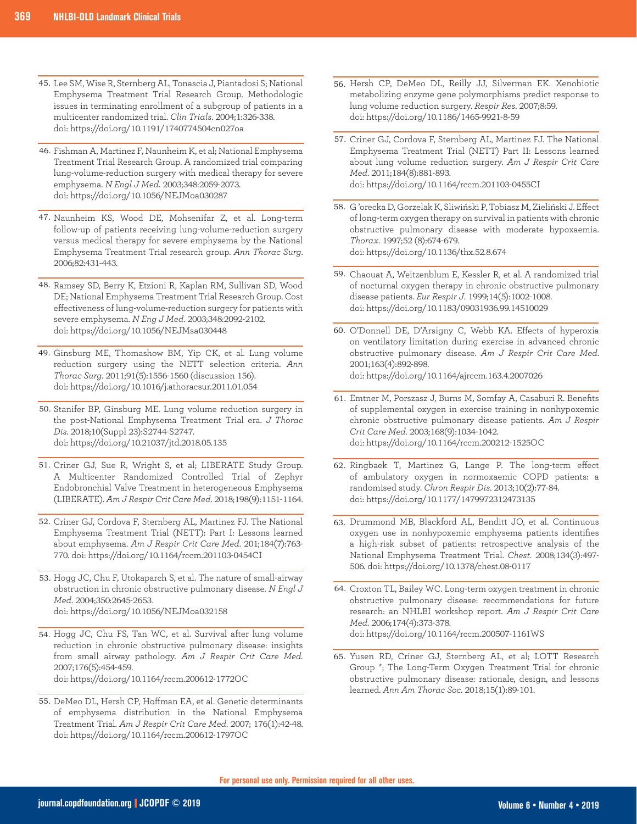- 45. Lee SM, Wise R, Sternberg AL, Tonascia J, Piantadosi S; National Emphysema Treatment Trial Research Group. Methodologic issues in terminating enrollment of a subgroup of patients in a multicenter randomized trial. *Clin Trials*. 2004;1:326-338. doi: https://doi.org/10.1191/1740774504cn027oa
- 46. Fishman A, Martinez F, Naunheim K, et al; National Emphysema Treatment Trial Research Group. A randomized trial comparing lung-volume-reduction surgery with medical therapy for severe emphysema. *N Engl J Med*. 2003;348:2059-2073. doi: https://doi.org/10.1056/NEJMoa030287
- 47. Naunheim KS, Wood DE, Mohsenifar Z, et al. Long-term follow-up of patients receiving lung-volume-reduction surgery versus medical therapy for severe emphysema by the National Emphysema Treatment Trial research group. *Ann Thorac Surg*. 2006;82:431-443.
- 48. Ramsey SD, Berry K, Etzioni R, Kaplan RM, Sullivan SD, Wood DE; National Emphysema Treatment Trial Research Group. Cost effectiveness of lung-volume-reduction surgery for patients with severe emphysema. *N Eng J Med*. 2003;348:2092-2102. doi: https://doi.org/10.1056/NEJMsa030448
- 49. Ginsburg ME, Thomashow BM, Yip CK, et al. Lung volume reduction surgery using the NETT selection criteria. *Ann Thorac Surg*. 2011;91(5):1556-1560 (discussion 156). doi: https://doi.org/10.1016/j.athoracsur.2011.01.054
- 50. Stanifer BP, Ginsburg ME. Lung volume reduction surgery in the post-National Emphysema Treatment Trial era. *J Thorac Dis.* 2018;10(Suppl 23):S2744-S2747. doi: https://doi.org/10.21037/jtd.2018.05.135
- 51. Criner GJ, Sue R, Wright S, et al; LIBERATE Study Group. A Multicenter Randomized Controlled Trial of Zephyr Endobronchial Valve Treatment in heterogeneous Emphysema (LIBERATE). *Am J Respir Crit Care Med*. 2018;198(9):1151-1164.
- 52. Criner GJ, Cordova F, Sternberg AL, Martinez FJ. The National Emphysema Treatment Trial (NETT): Part I: Lessons learned about emphysema. *Am J Respir Crit Care Med*. 201;184(7):763- 770. doi: https://doi.org/10.1164/rccm.201103-0454CI
- 53. Hogg JC, Chu F, Utokaparch S, et al. The nature of small-airway obstruction in chronic obstructive pulmonary disease. *N Engl J Med*. 2004;350:2645-2653. doi: https://doi.org/10.1056/NEJMoa032158
- 54. Hogg JC, Chu FS, Tan WC, et al. Survival after lung volume reduction in chronic obstructive pulmonary disease: insights from small airway pathology. *Am J Respir Crit Care Med.* 2007;176(5):454-459. doi: https://doi.org/10.1164/rccm.200612-1772OC
- 55. DeMeo DL, Hersh CP, Hoffman EA, et al. Genetic determinants of emphysema distribution in the National Emphysema Treatment Trial. *Am J Respir Crit Care Med*. 2007; 176(1):42-48. doi: https://doi.org/10.1164/rccm.200612-1797OC
- 56. Hersh CP, DeMeo DL, Reilly JJ, Silverman EK. Xenobiotic metabolizing enzyme gene polymorphisms predict response to lung volume reduction surgery. *Respir Res*. 2007;8:59. doi: https://doi.org/10.1186/1465-9921-8-59
- 57. Criner GJ, Cordova F, Sternberg AL, Martinez FJ. The National Emphysema Treatment Trial (NETT) Part II: Lessons learned about lung volume reduction surgery. *Am J Respir Crit Care Med*. 2011;184(8):881-893. doi: https://doi.org/10.1164/rccm.201103-0455CI
- G 'orecka D, Gorzelak K, Sliwiński P, Tobiasz M, Zieliński J. Effect 58. of long-term oxygen therapy on survival in patients with chronic obstructive pulmonary disease with moderate hypoxaemia. *Thorax*. 1997;52 (8):674-679. doi: https://doi.org/10.1136/thx.52.8.674
- Chaouat A, Weitzenblum E, Kessler R, et al. A randomized trial 59. of nocturnal oxygen therapy in chronic obstructive pulmonary disease patients. *Eur Respir J*. 1999;14(5):1002-1008. doi: https://doi.org/10.1183/09031936.99.14510029
- 60. O'Donnell DE, D'Arsigny C, Webb KA. Effects of hyperoxia on ventilatory limitation during exercise in advanced chronic obstructive pulmonary disease. *Am J Respir Crit Care Med*. 2001;163(4):892-898. doi: https://doi.org/10.1164/ajrccm.163.4.2007026
- Emtner M, Porszasz J, Burns M, Somfay A, Casaburi R. Benefits 61. of supplemental oxygen in exercise training in nonhypoxemic chronic obstructive pulmonary disease patients. *Am J Respir Crit Care Med.* 2003;168(9):1034-1042. doi: https://doi.org/10.1164/rccm.200212-1525OC
- 62. Ringbaek T, Martinez G, Lange P. The long-term effect of ambulatory oxygen in normoxaemic COPD patients: a randomised study. *Chron Respir Dis*. 2013;10(2):77-84. doi: https://doi.org/10.1177/1479972312473135
- 63. Drummond MB, Blackford AL, Benditt JO, et al. Continuous oxygen use in nonhypoxemic emphysema patients identifies a high-risk subset of patients: retrospective analysis of the National Emphysema Treatment Trial. *Chest*. 2008;134(3):497- 506. doi: https://doi.org/10.1378/chest.08-0117
- 64. Croxton TL, Bailey WC. Long-term oxygen treatment in chronic obstructive pulmonary disease: recommendations for future research: an NHLBI workshop report. *Am J Respir Crit Care Med*. 2006;174(4):373-378. doi: https://doi.org/10.1164/rccm.200507-1161WS
- 65. Yusen RD, Criner GJ, Sternberg AL, et al; LOTT Research Group \*; The Long-Term Oxygen Treatment Trial for chronic obstructive pulmonary disease: rationale, design, and lessons learned. *Ann Am Thorac Soc*. 2018;15(1):89-101.